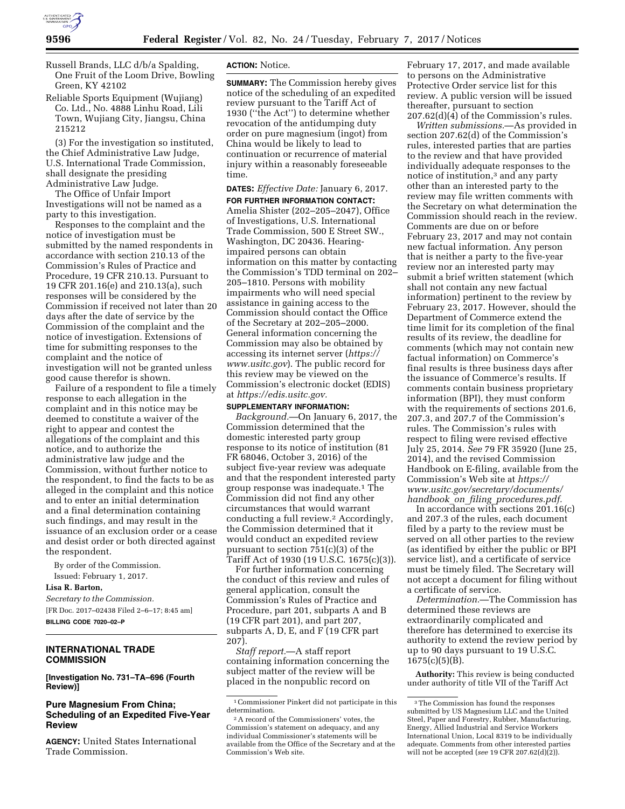

Russell Brands, LLC d/b/a Spalding, One Fruit of the Loom Drive, Bowling Green, KY 42102

Reliable Sports Equipment (Wujiang) Co. Ltd., No. 4888 Linhu Road, Lili Town, Wujiang City, Jiangsu, China 215212

(3) For the investigation so instituted, the Chief Administrative Law Judge, U.S. International Trade Commission, shall designate the presiding Administrative Law Judge.

The Office of Unfair Import Investigations will not be named as a party to this investigation.

Responses to the complaint and the notice of investigation must be submitted by the named respondents in accordance with section 210.13 of the Commission's Rules of Practice and Procedure, 19 CFR 210.13. Pursuant to 19 CFR 201.16(e) and 210.13(a), such responses will be considered by the Commission if received not later than 20 days after the date of service by the Commission of the complaint and the notice of investigation. Extensions of time for submitting responses to the complaint and the notice of investigation will not be granted unless good cause therefor is shown.

Failure of a respondent to file a timely response to each allegation in the complaint and in this notice may be deemed to constitute a waiver of the right to appear and contest the allegations of the complaint and this notice, and to authorize the administrative law judge and the Commission, without further notice to the respondent, to find the facts to be as alleged in the complaint and this notice and to enter an initial determination and a final determination containing such findings, and may result in the issuance of an exclusion order or a cease and desist order or both directed against the respondent.

By order of the Commission. Issued: February 1, 2017.

**Lisa R. Barton,** 

*Secretary to the Commission.*  [FR Doc. 2017–02438 Filed 2–6–17; 8:45 am] **BILLING CODE 7020–02–P** 

# **INTERNATIONAL TRADE COMMISSION**

**[Investigation No. 731–TA–696 (Fourth Review)]** 

# **Pure Magnesium From China; Scheduling of an Expedited Five-Year Review**

**AGENCY:** United States International Trade Commission.

## **ACTION:** Notice.

**SUMMARY:** The Commission hereby gives notice of the scheduling of an expedited review pursuant to the Tariff Act of 1930 (''the Act'') to determine whether revocation of the antidumping duty order on pure magnesium (ingot) from China would be likely to lead to continuation or recurrence of material injury within a reasonably foreseeable time.

## **DATES:** *Effective Date:* January 6, 2017.

**FOR FURTHER INFORMATION CONTACT:**  Amelia Shister (202–205–2047), Office of Investigations, U.S. International Trade Commission, 500 E Street SW., Washington, DC 20436. Hearingimpaired persons can obtain information on this matter by contacting the Commission's TDD terminal on 202– 205–1810. Persons with mobility impairments who will need special assistance in gaining access to the Commission should contact the Office of the Secretary at 202–205–2000. General information concerning the Commission may also be obtained by accessing its internet server (*[https://](https://www.usitc.gov) [www.usitc.gov](https://www.usitc.gov)*). The public record for this review may be viewed on the Commission's electronic docket (EDIS) at *[https://edis.usitc.gov.](https://edis.usitc.gov)* 

## **SUPPLEMENTARY INFORMATION:**

*Background.*—On January 6, 2017, the Commission determined that the domestic interested party group response to its notice of institution (81 FR 68046, October 3, 2016) of the subject five-year review was adequate and that the respondent interested party group response was inadequate.1 The Commission did not find any other circumstances that would warrant conducting a full review.2 Accordingly, the Commission determined that it would conduct an expedited review pursuant to section 751(c)(3) of the Tariff Act of 1930 (19 U.S.C. 1675(c)(3)).

For further information concerning the conduct of this review and rules of general application, consult the Commission's Rules of Practice and Procedure, part 201, subparts A and B (19 CFR part 201), and part 207, subparts A, D, E, and F (19 CFR part 207).

*Staff report.*—A staff report containing information concerning the subject matter of the review will be placed in the nonpublic record on

February 17, 2017, and made available to persons on the Administrative Protective Order service list for this review. A public version will be issued thereafter, pursuant to section 207.62(d)(4) of the Commission's rules.

*Written submissions.*—As provided in section 207.62(d) of the Commission's rules, interested parties that are parties to the review and that have provided individually adequate responses to the notice of institution,3 and any party other than an interested party to the review may file written comments with the Secretary on what determination the Commission should reach in the review. Comments are due on or before February 23, 2017 and may not contain new factual information. Any person that is neither a party to the five-year review nor an interested party may submit a brief written statement (which shall not contain any new factual information) pertinent to the review by February 23, 2017. However, should the Department of Commerce extend the time limit for its completion of the final results of its review, the deadline for comments (which may not contain new factual information) on Commerce's final results is three business days after the issuance of Commerce's results. If comments contain business proprietary information (BPI), they must conform with the requirements of sections 201.6, 207.3, and 207.7 of the Commission's rules. The Commission's rules with respect to filing were revised effective July 25, 2014. *See* 79 FR 35920 (June 25, 2014), and the revised Commission Handbook on E-filing, available from the Commission's Web site at *[https://](https://www.usitc.gov/secretary/documents/handbook_on_filing_procedures.pdf) [www.usitc.gov/secretary/documents/](https://www.usitc.gov/secretary/documents/handbook_on_filing_procedures.pdf)  handbook*\_*on*\_*filing*\_*[procedures.pdf.](https://www.usitc.gov/secretary/documents/handbook_on_filing_procedures.pdf)* 

In accordance with sections  $201.16(c)$ and 207.3 of the rules, each document filed by a party to the review must be served on all other parties to the review (as identified by either the public or BPI service list), and a certificate of service must be timely filed. The Secretary will not accept a document for filing without a certificate of service.

*Determination.*—The Commission has determined these reviews are extraordinarily complicated and therefore has determined to exercise its authority to extend the review period by up to 90 days pursuant to 19 U.S.C.  $1675(c)(5)(B)$ .

**Authority:** This review is being conducted under authority of title VII of the Tariff Act

 $^{\rm 1}$  Commissioner Pinkert did not participate in this determination.

<sup>2</sup>A record of the Commissioners' votes, the Commission's statement on adequacy, and any individual Commissioner's statements will be available from the Office of the Secretary and at the Commission's Web site.

<sup>3</sup>The Commission has found the responses submitted by US Magnesium LLC and the United Steel, Paper and Forestry, Rubber, Manufacturing, Energy, Allied Industrial and Service Workers International Union, Local 8319 to be individually adequate. Comments from other interested parties will not be accepted (*see* 19 CFR 207.62(d)(2)).